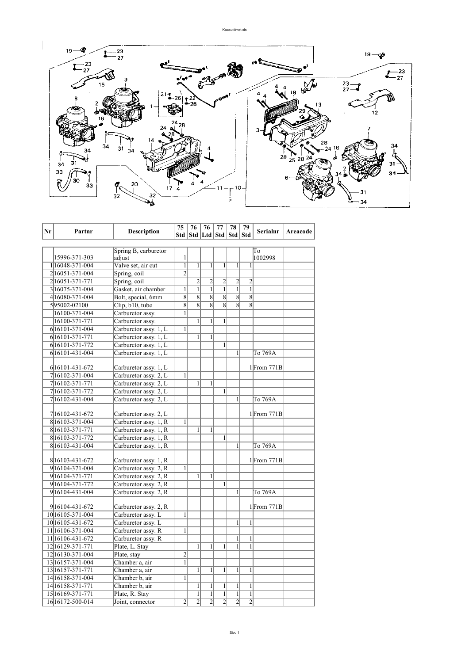

| Nr | Partnr                   | <b>Description</b>    | 75                               | 76             | 76                                | 77                               | 78             | 79             | Serialnr    | Areacode |
|----|--------------------------|-----------------------|----------------------------------|----------------|-----------------------------------|----------------------------------|----------------|----------------|-------------|----------|
|    |                          |                       |                                  |                | Std   Std   Ltd   Std   Std   Std |                                  |                |                |             |          |
|    |                          |                       |                                  |                |                                   |                                  |                |                |             |          |
|    |                          | Spring B, carburetor  |                                  |                |                                   |                                  |                |                | Tо          |          |
|    | 15996-371-303            | adjust                | 1                                |                |                                   |                                  |                |                | 1002998     |          |
|    | 1 16048-371-004          | Valve set, air cut    | $\overline{1}$<br>$\overline{2}$ | $\mathbf{1}$   | $\mathbf{1}$                      | $\mathbf{1}$                     | 1              | $\mathbf{1}$   |             |          |
|    | 216051-371-004           | Spring, coil          |                                  |                |                                   |                                  |                |                |             |          |
|    | 216051-371-771           | Spring, coil          |                                  | $\overline{2}$ | $\overline{2}$                    | $\overline{2}$                   | $\overline{c}$ | $\overline{c}$ |             |          |
|    | 316075-371-004           | Gasket, air chamber   | $\mathbf{1}$                     | $\mathbf{1}$   | $\overline{1}$                    | $\overline{1}$                   | $\mathbf{1}$   | $\overline{1}$ |             |          |
|    | 4 16080-371-004          | Bolt, special, 6mm    | $\overline{8}$                   | $\overline{8}$ | $\overline{8}$                    | $\overline{8}$<br>$\overline{8}$ | 8              | 8              |             |          |
|    | 595002-02100             | Clip, b10, tube       | $\overline{8}$                   | $\overline{8}$ | $\overline{8}$                    |                                  | $\overline{8}$ | $\overline{8}$ |             |          |
|    | 16100-371-004            | Carburetor assy.      | $\mathbf{1}$                     |                |                                   |                                  |                |                |             |          |
|    | 16100-371-771            | Carburetor assy.      |                                  | 1              | 1                                 | 1                                |                |                |             |          |
|    | 6 16101-371-004          | Carburetor assy. 1, L | $\mathbf{1}$                     |                |                                   |                                  |                |                |             |          |
|    | 6 16 10 1 - 37 1 - 77 1  | Carburetor assy. 1, L |                                  | $\mathbf{1}$   | $\mathbf{1}$                      |                                  |                |                |             |          |
|    | 6 16 10 1 - 37 1 - 77 2  | Carburetor assy. 1, L |                                  |                |                                   | $\mathbf{1}$                     |                |                |             |          |
|    | 6 16101-431-004          | Carburetor assy. 1, L |                                  |                |                                   |                                  | 1              |                | To 769A     |          |
|    | 6 16 10 1 - 43 1 - 67 2  | Carburetor assy. 1, L |                                  |                |                                   |                                  |                |                | 1From 771B  |          |
|    | 7 16102-371-004          | Carburetor assy. 2, L | $\mathbf{1}$                     |                |                                   |                                  |                |                |             |          |
|    | 716102-371-771           | Carburetor assy. 2, L |                                  | 1              | 1                                 |                                  |                |                |             |          |
|    | 716102-371-772           | Carburetor assy. 2, L |                                  |                |                                   | $\mathbf{1}$                     |                |                |             |          |
|    | 716102-431-004           | Carburetor assy. 2, L |                                  |                |                                   |                                  | 1              |                | To 769A     |          |
|    |                          |                       |                                  |                |                                   |                                  |                |                |             |          |
|    | 716102-431-672           | Carburetor assy. 2, L |                                  |                |                                   |                                  |                |                | 1From 771B  |          |
|    | 8 16103-371-004          | Carburetor assy. 1, R | $\overline{1}$                   |                |                                   |                                  |                |                |             |          |
|    | 8 16 10 3 - 371 - 771    | Carburetor assy. 1, R |                                  | 1              | $\mathbf{1}$                      |                                  |                |                |             |          |
|    | 8 16 10 3 - 371 - 772    | Carburetor assy. 1, R |                                  |                |                                   | $\mathbf{1}$                     |                |                |             |          |
|    | 8 16103-431-004          | Carburetor assy. 1, R |                                  |                |                                   |                                  | 1              |                | To 769A     |          |
|    |                          |                       |                                  |                |                                   |                                  |                |                |             |          |
|    | 8 16103-431-672          | Carburetor assy. 1, R |                                  |                |                                   |                                  |                |                | 1From 771B  |          |
|    | 9 16 10 4 - 371 - 00 4   | Carburetor assy. 2, R | $\mathbf{1}$                     |                |                                   |                                  |                |                |             |          |
|    | 916104-371-771           | Carburetor assy. 2, R |                                  | $\mathbf{1}$   | 1                                 |                                  |                |                |             |          |
|    | 916104-371-772           | Carburetor assy. 2, R |                                  |                |                                   | $\mathbf{1}$                     |                |                |             |          |
|    | 9 16 10 4 - 43 1 - 00 4  | Carburetor assy. 2, R |                                  |                |                                   |                                  | 1              |                | To 769A     |          |
|    | 916104-431-672           | Carburetor assy. 2, R |                                  |                |                                   |                                  |                |                | 1 From 771B |          |
|    | 10 16 10 5 - 371 - 004   | Carburetor assv. L    | $\mathbf{1}$                     |                |                                   |                                  |                |                |             |          |
|    | 10 16 10 5 - 431 - 672   | Carburetor assy. L    |                                  |                |                                   |                                  | 1              | 1              |             |          |
|    | 11 16106-371-004         | Carburetor assy. R    | $\mathbf{1}$                     |                |                                   |                                  |                |                |             |          |
|    | 11 16106-431-672         | Carburetor assy. R    |                                  |                |                                   |                                  | 1              | $\mathbf{1}$   |             |          |
|    | 12 16 129 - 371 - 771    | Plate, L. Stay        |                                  | 1              | $\mathbf{1}$                      | 1                                | 1              | $\mathbf{1}$   |             |          |
|    | 12 16130-371-004         | Plate, stay           | $\overline{c}$                   |                |                                   |                                  |                |                |             |          |
|    | 13 16157-371-004         | Chamber a, air        | $\mathbf{1}$                     |                |                                   |                                  |                |                |             |          |
|    | 13 16157-371-771         | Chamber a, air        |                                  | $\mathbf{1}$   | $\mathbf{1}$                      | $\mathbf{1}$                     | $\mathbf{1}$   | $\mathbf{1}$   |             |          |
|    | 14 16158-371-004         | Chamber b, air        | $\mathbf{1}$                     |                |                                   |                                  |                |                |             |          |
|    | 14 16 15 8 - 37 1 - 77 1 | Chamber b, air        |                                  | $\mathbf{1}$   | $\mathbf{1}$                      | 1                                | 1              | $\mathbf{1}$   |             |          |
|    | 15 16169 - 371 - 771     | Plate, R. Stay        |                                  | $\mathbf{1}$   | $\mathbf{1}$                      | $\mathbf{1}$                     | $\mathbf{1}$   | $\overline{1}$ |             |          |
|    | 16 16 172 - 500 - 014    | Joint, connector      | $\overline{2}$                   | $\overline{2}$ | $\overline{2}$                    | $\overline{2}$                   | $\overline{2}$ | $\overline{2}$ |             |          |